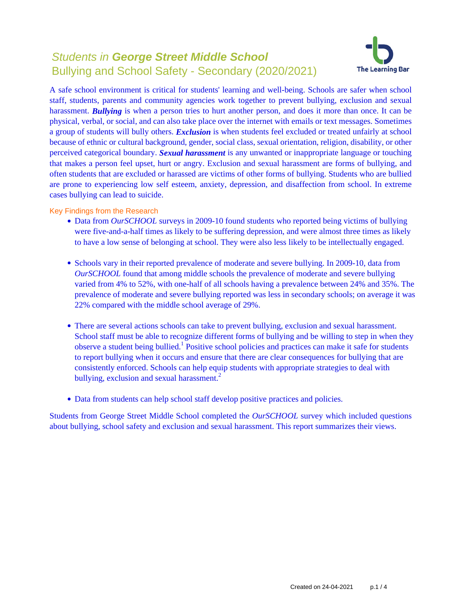# Students in **George Street Middle School** Bullying and School Safety - Secondary (2020/2021)



A safe school environment is critical for students' learning and well-being. Schools are safer when school staff, students, parents and community agencies work together to prevent bullying, exclusion and sexual harassment. *Bullying* is when a person tries to hurt another person, and does it more than once. It can be physical, verbal, or social, and can also take place over the internet with emails or text messages. Sometimes a group of students will bully others. *Exclusion* is when students feel excluded or treated unfairly at school because of ethnic or cultural background, gender, social class, sexual orientation, religion, disability, or other perceived categorical boundary. *Sexual harassment* is any unwanted or inappropriate language or touching that makes a person feel upset, hurt or angry. Exclusion and sexual harassment are forms of bullying, and often students that are excluded or harassed are victims of other forms of bullying. Students who are bullied are prone to experiencing low self esteem, anxiety, depression, and disaffection from school. In extreme cases bullying can lead to suicide.

Key Findings from the Research

- Data from *OurSCHOOL* surveys in 2009-10 found students who reported being victims of bullying were five-and-a-half times as likely to be suffering depression, and were almost three times as likely to have a low sense of belonging at school. They were also less likely to be intellectually engaged.
- Schools vary in their reported prevalence of moderate and severe bullying. In 2009-10, data from *OurSCHOOL* found that among middle schools the prevalence of moderate and severe bullying varied from 4% to 52%, with one-half of all schools having a prevalence between 24% and 35%. The prevalence of moderate and severe bullying reported was less in secondary schools; on average it was 22% compared with the middle school average of 29%.
- There are several actions schools can take to prevent bullying, exclusion and sexual harassment. School staff must be able to recognize different forms of bullying and be willing to step in when they observe a student being bullied.<sup>1</sup> Positive school policies and practices can make it safe for students to report bullying when it occurs and ensure that there are clear consequences for bullying that are consistently enforced. Schools can help equip students with appropriate strategies to deal with bullying, exclusion and sexual harassment.<sup>2</sup>
- Data from students can help school staff develop positive practices and policies.

Students from George Street Middle School completed the *OurSCHOOL* survey which included questions about bullying, school safety and exclusion and sexual harassment. This report summarizes their views.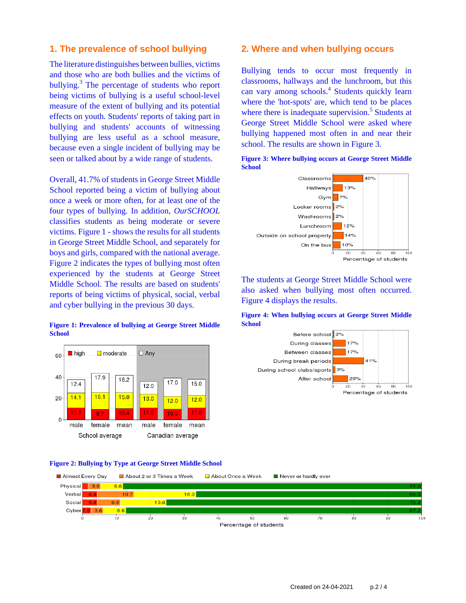### **1. The prevalence of school bullying**

The literature distinguishes between bullies, victims and those who are both bullies and the victims of bullying.<sup>3</sup> The percentage of students who report being victims of bullying is a useful school-level measure of the extent of bullying and its potential effects on youth. Students' reports of taking part in bullying and students' accounts of witnessing bullying are less useful as a school measure, because even a single incident of bullying may be seen or talked about by a wide range of students.

Overall, 41.7% of students in George Street Middle School reported being a victim of bullying about once a week or more often, for at least one of the four types of bullying. In addition, *OurSCHOOL* classifies students as being moderate or severe victims. Figure 1 - shows the results for all students in George Street Middle School, and separately for boys and girls, compared with the national average. Figure 2 indicates the types of bullying most often experienced by the students at George Street Middle School. The results are based on students' reports of being victims of physical, social, verbal and cyber bullying in the previous 30 days.

#### **Figure 1: Prevalence of bullying at George Street Middle School**



#### **Figure 2: Bullying by Type at George Street Middle School**

#### Almost Every Day About 2 or 3 Times a Week About Once a Week Never or hardly ever  $\overline{36}$  $6.6$  $10.7$ 18.3  $\overline{A}$



### **2. Where and when bullying occurs**

Bullying tends to occur most frequently in classrooms, hallways and the lunchroom, but this can vary among schools.<sup>4</sup> Students quickly learn where the 'hot-spots' are, which tend to be places where there is inadequate supervision.<sup>5</sup> Students at George Street Middle School were asked where bullying happened most often in and near their school. The results are shown in Figure 3.

**Figure 3: Where bullying occurs at George Street Middle**



The students at George Street Middle School were also asked when bullying most often occurred. Figure 4 displays the results.

**Figure 4: When bullying occurs at George Street Middle School**

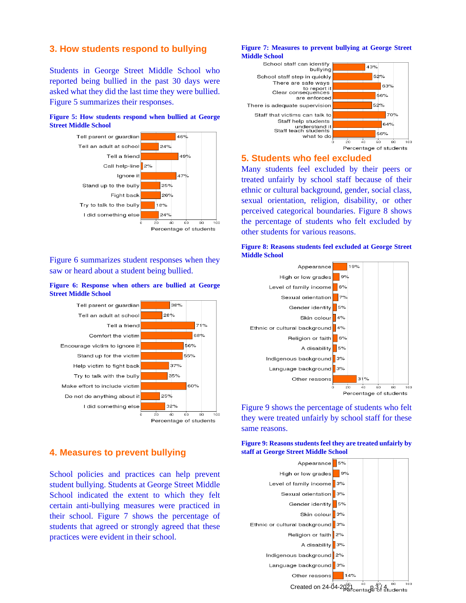### **3. How students respond to bullying**

Students in George Street Middle School who reported being bullied in the past 30 days were asked what they did the last time they were bullied. Figure 5 summarizes their responses.

### **Figure 5: How students respond when bullied at George Street Middle School**



Figure 6 summarizes student responses when they saw or heard about a student being bullied.

#### **Figure 6: Response when others are bullied at George Street Middle School**



### **4. Measures to prevent bullying**

School policies and practices can help prevent student bullying. Students at George Street Middle School indicated the extent to which they felt certain anti-bullying measures were practiced in their school. Figure 7 shows the percentage of students that agreed or strongly agreed that these practices were evident in their school.

#### **Figure 7: Measures to prevent bullying at George Street Middle School**



### **5. Students who feel excluded**

Many students feel excluded by their peers or treated unfairly by school staff because of their ethnic or cultural background, gender, social class, sexual orientation, religion, disability, or other perceived categorical boundaries. Figure 8 shows the percentage of students who felt excluded by other students for various reasons.





Figure 9 shows the percentage of students who felt they were treated unfairly by school staff for these same reasons.

**Figure 9: Reasons students feel they are treated unfairly by staff at George Street Middle School**